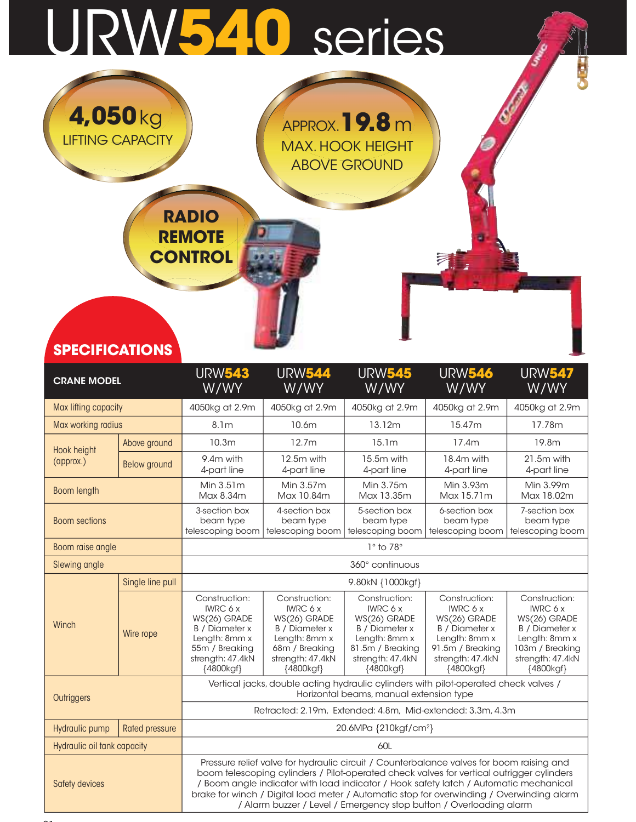## URW540 series



| <b>SPECIFICATIONS</b>       |                       |                                                                                                                                        |                                                                                                                                        |                                                                                                                                          |                                                                                                                                                                                                                                                                                                                                                                                                                                                   |                                                                                                                                                |
|-----------------------------|-----------------------|----------------------------------------------------------------------------------------------------------------------------------------|----------------------------------------------------------------------------------------------------------------------------------------|------------------------------------------------------------------------------------------------------------------------------------------|---------------------------------------------------------------------------------------------------------------------------------------------------------------------------------------------------------------------------------------------------------------------------------------------------------------------------------------------------------------------------------------------------------------------------------------------------|------------------------------------------------------------------------------------------------------------------------------------------------|
| <b>CRANE MODEL</b>          |                       | <b>URW543</b><br>W/WY                                                                                                                  | <b>URW544</b><br>W/WY                                                                                                                  | <b>URW545</b><br>W/WY                                                                                                                    | <b>URW546</b><br>W/WY                                                                                                                                                                                                                                                                                                                                                                                                                             | <b>URW547</b><br>W/WY                                                                                                                          |
| Max lifting capacity        |                       | 4050kg at 2.9m                                                                                                                         | 4050kg at 2.9m                                                                                                                         | 4050kg at 2.9m                                                                                                                           | 4050kg at 2.9m                                                                                                                                                                                                                                                                                                                                                                                                                                    | 4050kg at 2.9m                                                                                                                                 |
| Max working radius          |                       | 8.1 <sub>m</sub>                                                                                                                       | 10.6m                                                                                                                                  | 13.12m                                                                                                                                   | 15.47m                                                                                                                                                                                                                                                                                                                                                                                                                                            | 17.78m                                                                                                                                         |
| Hook height                 | Above ground          | 10.3 <sub>m</sub>                                                                                                                      | 12.7m                                                                                                                                  | 15.1 <sub>m</sub>                                                                                                                        | 17.4m                                                                                                                                                                                                                                                                                                                                                                                                                                             | 19.8m                                                                                                                                          |
| (approx.)                   | <b>Below ground</b>   | 9.4m with<br>4-part line                                                                                                               | 12.5m with<br>4-part line                                                                                                              | 15.5m with<br>4-part line                                                                                                                | 18.4m with<br>4-part line                                                                                                                                                                                                                                                                                                                                                                                                                         | 21.5m with<br>4-part line                                                                                                                      |
| <b>Boom length</b>          |                       | Min 3.51m<br>Max 8.34m                                                                                                                 | Min 3.57m<br>Max 10.84m                                                                                                                | Min 3.75m<br>Max 13.35m                                                                                                                  | Min 3.93m<br>Max 15.71m                                                                                                                                                                                                                                                                                                                                                                                                                           | Min 3.99m<br>Max 18.02m                                                                                                                        |
| <b>Boom sections</b>        |                       | 3-section box<br>beam type<br>telescoping boom                                                                                         | 4-section box<br>beam type<br>telescoping boom                                                                                         | 5-section box<br>beam type<br>telescoping boom                                                                                           | 6-section box<br>beam type<br>telescoping boom                                                                                                                                                                                                                                                                                                                                                                                                    | 7-section box<br>beam type<br>telescoping boom                                                                                                 |
| Boom raise angle            |                       |                                                                                                                                        |                                                                                                                                        | $1^\circ$ to $78^\circ$                                                                                                                  |                                                                                                                                                                                                                                                                                                                                                                                                                                                   |                                                                                                                                                |
| Slewing angle               |                       |                                                                                                                                        |                                                                                                                                        | 360° continuous                                                                                                                          |                                                                                                                                                                                                                                                                                                                                                                                                                                                   |                                                                                                                                                |
|                             | Single line pull      |                                                                                                                                        |                                                                                                                                        | 9.80kN {1000kgf}                                                                                                                         |                                                                                                                                                                                                                                                                                                                                                                                                                                                   |                                                                                                                                                |
| Winch                       | Wire rope             | Construction:<br><b>IWRC 6 x</b><br>WS(26) GRADE<br>B / Diameter x<br>Length: 8mm x<br>55m / Breaking<br>strength: 47.4kN<br>{4800kgf} | Construction:<br><b>IWRC 6 x</b><br>WS(26) GRADE<br>B / Diameter x<br>Length: 8mm x<br>68m / Breaking<br>strength: 47.4kN<br>{4800kgf} | Construction:<br><b>IWRC 6 x</b><br>WS(26) GRADE<br>B / Diameter x<br>Length: 8mm x<br>81.5m / Breaking<br>strength: 47.4kN<br>{4800kgf} | Construction:<br><b>IWRC 6 x</b><br>WS(26) GRADE<br>B / Diameter x<br>Length: 8mm x<br>91.5m / Breaking<br>strength: 47.4kN<br>{4800kgf}                                                                                                                                                                                                                                                                                                          | Construction:<br><b>IWRC 6 x</b><br>WS(26) GRADE<br><b>B</b> / Diameter x<br>Length: 8mm x<br>103m / Breaking<br>strength: 47.4kN<br>{4800kgf} |
| Outriggers                  |                       |                                                                                                                                        |                                                                                                                                        | Horizontal beams, manual extension type                                                                                                  | Vertical jacks, double acting hydraulic cylinders with pilot-operated check valves /                                                                                                                                                                                                                                                                                                                                                              |                                                                                                                                                |
|                             |                       |                                                                                                                                        |                                                                                                                                        |                                                                                                                                          | Retracted: 2.19m, Extended: 4.8m, Mid-extended: 3.3m, 4.3m                                                                                                                                                                                                                                                                                                                                                                                        |                                                                                                                                                |
| Hydraulic pump              | <b>Rated pressure</b> |                                                                                                                                        |                                                                                                                                        | 20.6MPa {210kgf/cm <sup>2</sup> }                                                                                                        |                                                                                                                                                                                                                                                                                                                                                                                                                                                   |                                                                                                                                                |
| Hydraulic oil tank capacity |                       |                                                                                                                                        |                                                                                                                                        | 60L                                                                                                                                      |                                                                                                                                                                                                                                                                                                                                                                                                                                                   |                                                                                                                                                |
| Safety devices              |                       |                                                                                                                                        |                                                                                                                                        |                                                                                                                                          | Pressure relief valve for hydraulic circuit / Counterbalance valves for boom raising and<br>boom telescoping cylinders / Pilot-operated check valves for vertical outrigger cylinders<br>/ Boom angle indicator with load indicator / Hook safety latch / Automatic mechanical<br>brake for winch / Digital load meter / Automatic stop for overwinding / Overwinding alarm<br>/ Alarm buzzer / Level / Emergency stop button / Overloading alarm |                                                                                                                                                |